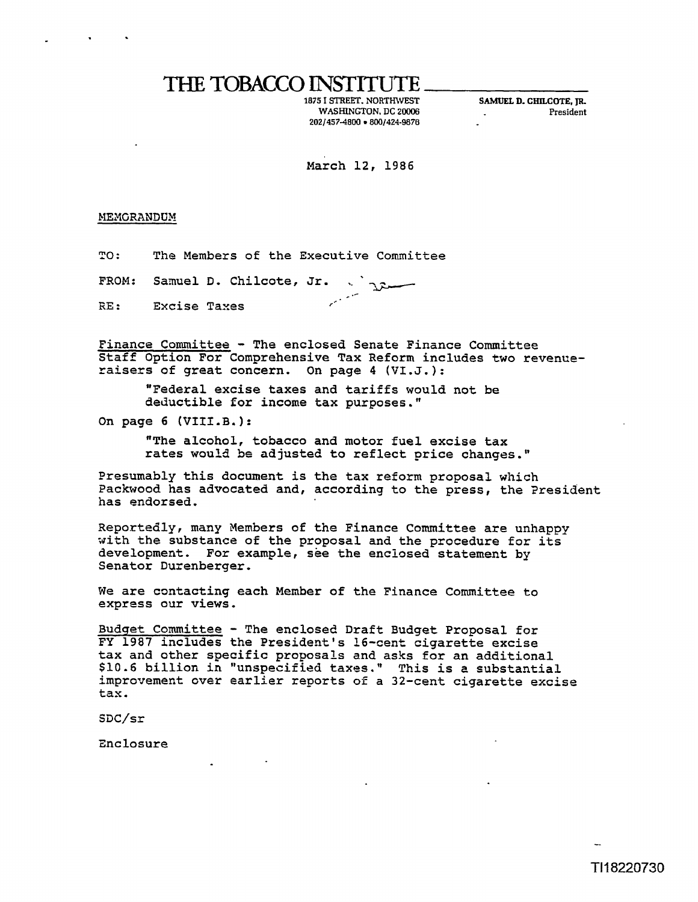## THE **TOBACCO** INSTITUTE

**WASHINGTON, DC 20006 President 2021457-4800 .800/424-9876** 

**1875 1 STREET. NORTHWEST** *SAMUEL* **D. CHILCME. JR** 

March 12, 1986

MEMORANDUM

**TO** : **The Members of the Executive Committee** 

**FROM: Sanuel D, Chilcote, Jr.** .. .\* **RE** : **Excise Taxes** ,--

**Finance Committee** - **The enclosed Senate Finance Committee Staff Option For Comprehensive Tax Reform includes two revenuexaisers of great concern. On page 4 (V1.J.):** 

**"Federal excise taxes and tariffs would not be deductible for income tax purposes."** 

**On page 6 (VIII.B.):** 

**"The alcohol, tobacco and motor fuel excise tax rates would** be **adjusted to reflect price changes."** 

**Presumably this document is the tax reform proposal which**  Packwood has advocated and, according to the press, the President **has endorsed.** 

**Reportedly, many Nembers of the Finance Committee are unhappy uith the substance of the proposal and the procedure for its development. For example, see the enclosed statement by Senator Durenberger,** 

We are contacting each Member of the Finance Committee to **exprass our views.** 

**Budget Committee** - **The enclosed Draft Budget Proposal for FY 1987 includes the President's 16-cent cigarette excise tax and other specific proposals and asks for an additional \$10.6 billion in "unspecified taxes." This is** e **substantial improvemect over earlier reports of a 32-cent cigarette excise tax.** 

 $SDC/sr$ 

**Enclosure**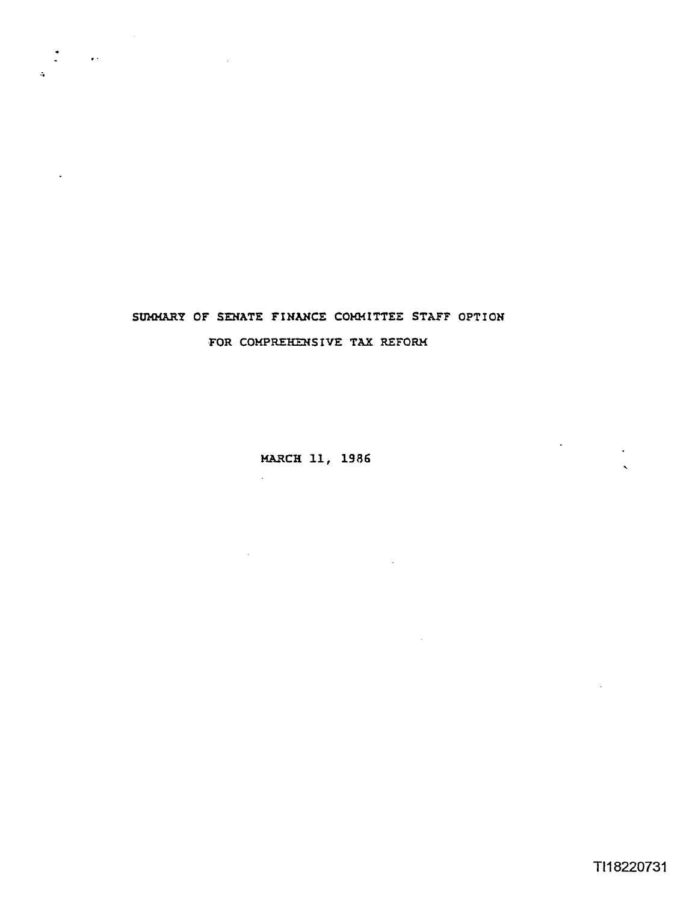

 $\bullet$ 

## SUMMARY OF SENATE FINANCE COMMITTEE STAFF OPTION **,FOR COHPREHEHSIVE TAX REFORK**

MARCH 11, 1986

 $\sim 10$ 

 $\mathcal{L}$ 

 $\sim$  .

 $\sim$ 

 $\bar{\mathbf{v}}$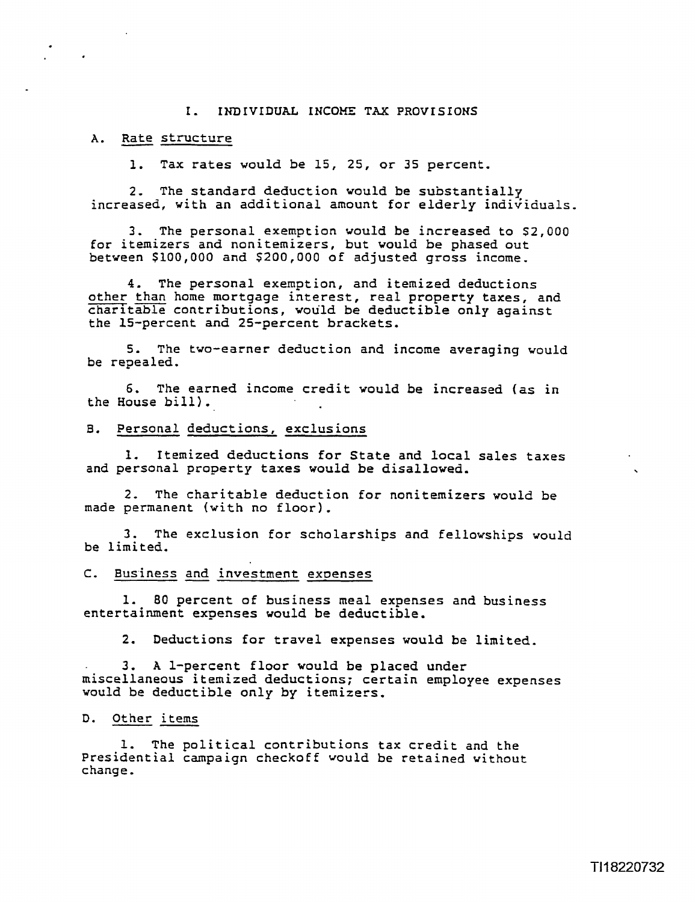#### I. INDIVIDUAL INCOME TAX PROVISIONS

#### A. Rate structure

1. Tax rates would be 15, 25, or 35 percent,

**2,** The standard deduction would be substantiallg increased, with an additional amount for elderly individuals.

3. The personal exemption would be increased to \$2,000 for itemizers and nonitemizers, but would be phased out between \$100,000 and \$200,000 of adjusted gross income.

4. The personal exemption, and itemized deductions<br>other than home mortgage interest, real property taxes, and 3. The personal exemption would be increased to \$2,000<br>for itemizers and nonitemizers, but would be phased out<br>between \$100,000 and \$200,000 of adjusted gross income.<br>4. The personal exemption, and itemized deductions<br>betw charitable contributions, would be deductible only against the 15-percent and 25-percent brackets.

**5.** The two-earner deduction and income averaging would be repealed.

6. The earned income credit would be increased (as in the House bill),

#### **8.** Personal deductions, exclusions

1. Itemized deductions for State and local sales taxes and personal property taxes would be disallowed.

**2,** The charitable deduction for nonitemizers would be made permanent (with no floor).

3. The exclusion for scholarships and fellowships would be limited.

#### C. Business and investment expenses

**1.** 80 percent of business meal expenses and business entertainment expenses would be deductible.

2. Deductions for travel expenses would be limited.

3, A 1-percent floor would be placed under miscellaneous itemized deductions; certain employee expenses would be deductible only by itemizers. entertainment expense:<br>
2. Deductions for<br>
3. A 1-percent<br>
miscellaneous itemized<br>
would be deductible of<br>
D. Other items<br>
1. The politica:

I. The political contributions tax credit and the Presidential campaign checkoff would be retained without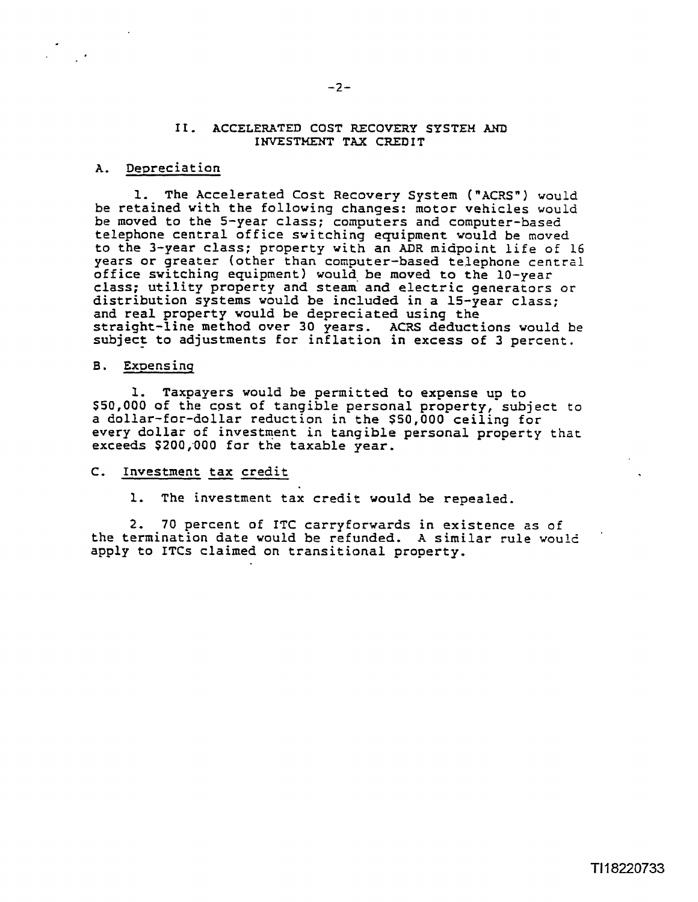#### **11. ACCELERATED COST RECOVERY** *SYSTEM* **AKD INVESTMENT TAX CREDIT**

#### A. Depreciation

**1.** The Accelerated Cost Recovery System **("ACRS")** would be retained with the following changes: motor vehicles would be moved to the 5-year class; computers and computer-based telephone central office switching equipment would be moved to the 3-year class; property with an **ADR** midpoint life of 16 years or greater (other than computer-based telephone central office switching equipment) would be moved to the 10-year class; utility property and steam and electric generators or distribution systems would be included in a 15-year class; and real property would be depreciated using the straight-line method over 30 years. ACRS deductions would be subject to adjustments for inflation in **excess** of 3 percent.

#### B. Expensing

1. Taxpayers would be permitted to **expense up** to **\$50,000 of** the **cost** of tangible personal property, subject to a dollar-for-dollar reduction in the **\$50,000** ceiling for every dollar of investment in tangible personal property that **exceeds \$200;000** for the taxable pear. Novo of the Cost of tand<br>
llar-for-dollar reduct<br>
eds \$200,000 for the tax<br>
<u>Investment tax credit</u>

#### $\mathsf{c}.$

**1.** The investment tax credit would be repealed.

**2,** 70 percent of ITC carryforwards in existence as of the termination date would be refunded. A similar rule would apply to ITCs claimed on transitional property.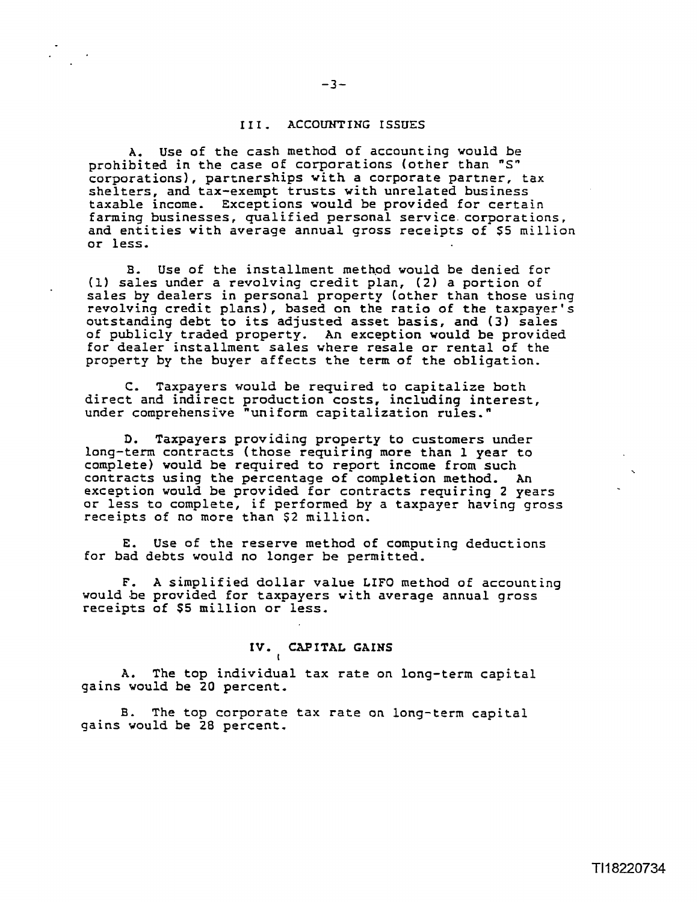#### **<sup>I</sup>I I** . **ACCOUNTING ISSUES**

A. **Use** of the cash method of accounting would be prohibited in the case of corporations (other than **"Sn**  corporations), partnerships with a corporate partner, tax shelters, and tax-exempt trusts with unrelated business taxable income. Exceptions would be provided for certain farming businesses, qualified personal service.corporations, and entities with average annual gross receipts of **55** million or less-

**8.** Use of the installment method would be denied for **(11** sales under a revolving credit plan, **(2)** a portion of sales by dealers in personal property (other than those using revolving credit plans), based on the ratio of the taxpayer's outstanding debt to its adjusted asset **basis,** and **(3)** sales of publicly traded property. An exception would be provided for dealer installment sales where resale or rental of the property by the buyer affects the term of the obligation.

**C,** Taxpayers would be **required** to capitalize both direct and indirect production costs, including interest, under comprehensive "uniform capitalization rules."

D. Taxpayers providing property to customers under long-term contracts (those requiring more than 1 year to complete) would be **required** to report income from such contracts using the percentage of completion method, **An**  exception would be provided for contracts requiring 2 years or less to complete, if performed by a taxpayer having gross receipts of no more than \$2 million.

E. Use of the reserve method of computing deductions for bad debts would no longer be permitted.

**F,** A simplified dollar value LIFO method of accaunting would be provided for taxpayers with average annual gross receipts of \$5 million or less,

## **IV. CAPITAL GAINS**

A. The top individual tax rate on long-term capital gains would be 20 percent,

**I** 

B. The top corporate tax rate on long-term capital gains would be 28 percent.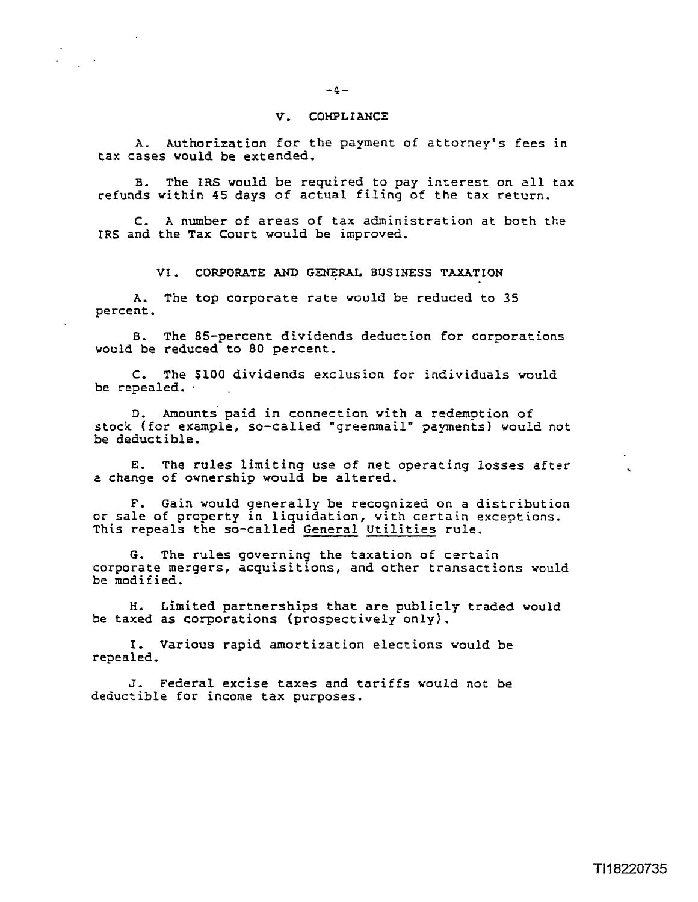#### **V, COHPLIANCE**

A. Authorization for the payment of attorney's fees in **tax cases** would be extended.

**B,** The IRS would be required to pay interest on all tax refunds within **45** days of actual filing of the tax return.

**C,** A number of areas of **tax** administration at both the IRS and the Tax Court would be improved,

**VI. CORPORATE AM) G-RAL BUSINESS TAXATION** 

A. The top corporate rate would be reduced to 35 percent.

**8.** The 85-percent dividends deduct ion for corporations vould be reduced to 80 percent.

**C,** The \$100 dividends exclusion for individuals would be repealed.

**D,** Amounts paid in connection with a redemption of stock (far example, so-called "greenmail" payments) would not be deductible,

E. The rules limiting use of net operating losses after a change of ownership would be altered.

F. Gain would generally be recognized on a distribution or sale of property in liquidation, with certain exceptions. This repeals the so-called General Utilities rule.

G. The rules governing the taxation of certain corporate mergers, acquisitions, and **other** transactions would be modified.

**H,** Limited partnerships that are publicly traded would be taxed as corporations (prospectively only).

I, Various rapid amortization elections would be repealed,

**J.** Federal excise **taxes** and tariffs would not be deductible for income **tax** purposes,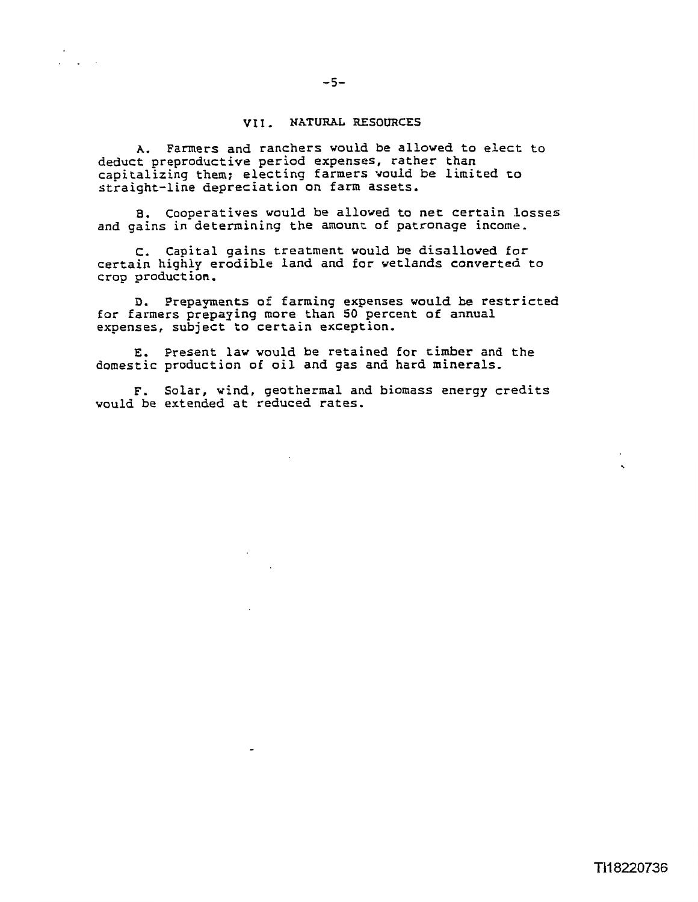#### **<sup>I</sup>NATURAL RESOURCES**

A. Farmers and ranchers would **be** allowed to elect to deduct preproductive period expenses, rather than capitalizing them; electing farmers would be limited to straight-line depreciation on farm assets,

B. cooperatives would be alloved to net certain **losses**  and gains in determining the amount of patronage **income.** 

**C.** Capital gains treatment would be disallowed for certain highly erodible land and **for** wetlands converted to crop product **ion.** 

**D.** Prepayments of farming expenses would be restricted for farmers prepaying more than 50 percent of annual expenses, subject to certain exception.

**E.** Present law would be retained for timber and the domestic production of oil and gas and hard minerals.

**F.** Solar, wind, geothermal and **biomass** energy credits would be extended at reduced rates.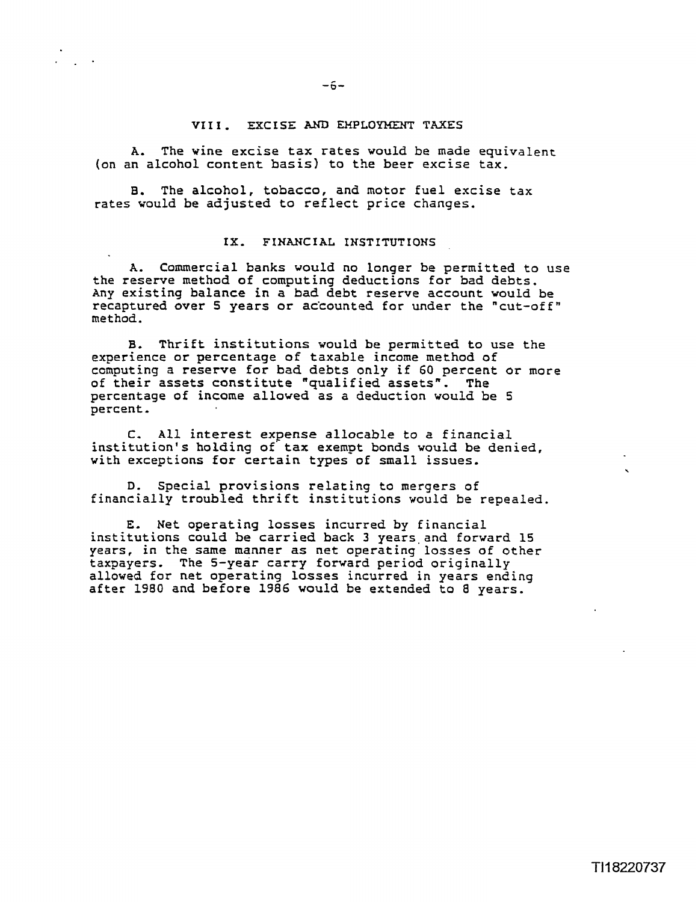#### **VI I I** , **EXCISE AND EMPLOYMENT TAXES**

A, The wine excise tax **rates** would **be** made equivalent (on an alcohol content basis) to the beer **excise tax.** 

B. The alcohol, tobacco, and motor fuel excise **tax**  rates would be adjusted to reflect price changes.

#### **IX. FINANCIAL INSTITUTIONS**

A. Commercial banks would no longer be permitted to use the reserve method of computing deductions for bad debts. Any existing balance in a bad debt reserve account would be recaptured Gver S years or ac'counted for under **the** "cut-offn met hod.

**B,** Thrift institutions would be permitted to **use** the experience or percentage of taxable income method of computing a reserve for bad debts only if 60 percent or more of their assets constitute "qualified **assets".** The percentage of income allowed **as** a deduction would be 5 percent.

C. All interest expense allocable to a financial institution's holding of' **tax** exempt bonds would be denied, with exceptions for certain types of small issues.

D. Special provisions relating to mergers of financially troubled thrift institutions would be repealed.

**E.** Net operating losses incurred by financial institutions could be carried back 3 years and forward 15 years, in the **same** manner as net operating losses of other taxpayers. The 5-year carry forward period originally allowed for net operating losses incurred in years ending after 1980 and before 1986 would be extended to 8 years.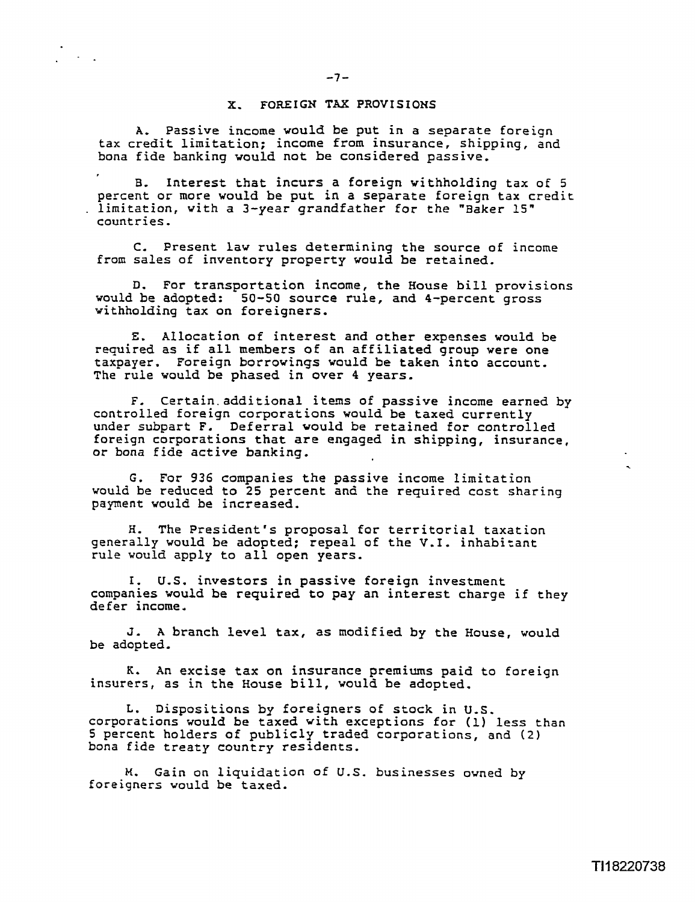#### **X. FOREIGN TAX PROVISIONS**

**A,** Passive income would be put in a separate foreign tax credit limitation; income from insurance, shipping, and bona fide banking would not be considered passive.

**B.** Interest that incurs a foreign withholding tax of **5**  percent in more in a separate in a separate for the "Baker 15" countries.

**C.** Present law rules determining the source of income from sales of inventory property would be retained.

D. For transportation income, the House bill provisions would be adopted: 50-50 source rule, and 4-percent gross withholding tax on foreigners,

**E.** Allocation of interest and other expenses would be required as if all members of an affiliated group were one taxpayer. Foreign borrowings would be taken into account. The rule would be phased in over 4 **years.** 

**F.** Certain.additiona1 itens of passive income earned by controlled foreign corporations would be taxed currently under subpart F. Deferral would be retained for controlled foreign corporations that are engaged in shipping, insurance,<br>or bona fide active banking.

G. For 936 companies the passive income limitation would be reduced to 25 percent **and** the required cost sharing payment would be increased.

H. The President's proposal for territorial taxation generally would be adopted; repeal of the **V.I.** inhabitant rule would apply to all open years.

I. **U.S.** investors in passive foreign investment companies would be required to pay an interest charge if they defer income.

**J. A** branch level **tax,** as modified by the House, would be adopted.

K. An **excise tax** on insurance premiums paid to foreign insurers, **as** in the House bill, would be adopted.

L. Dispositions by foreigners of stock in U.S. corporations would be taxed with exceptions for **(1)** less than **<sup>5</sup>**percent holders of publicly traded corporations, and **(2)**  bona fide treaty country residents.

M. Gain on liquidation of U.S. businesses owned by foreigners would be **taxed.**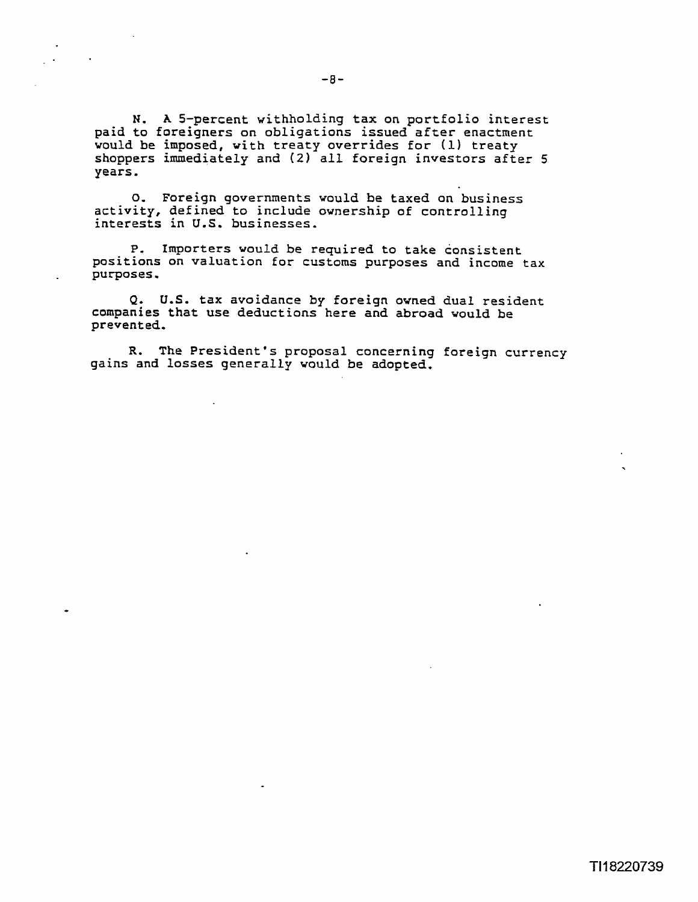N. A 5-percent withholding **tax** on portfolio interest paid to foreigners on obligations issued after enactment would be imposed, with treaty overrides for (1) treaty shoppers immediately and (2) all foreign investors after **5**  years.

**0.** Foreign governments would be taxed on business activity, defined to include ownership of controlling interests in **U.S.** businesses.

P. Importers would be required to take consistent positions on valuation for customs purposes and income tax purposes,

Q. U.S. **tax** avoidance by foreign owned dual resident companies that use deductions here and abroad would be prevented,

**R.** The President's proposal concerning foreign currency gains and losses generally would be adopted.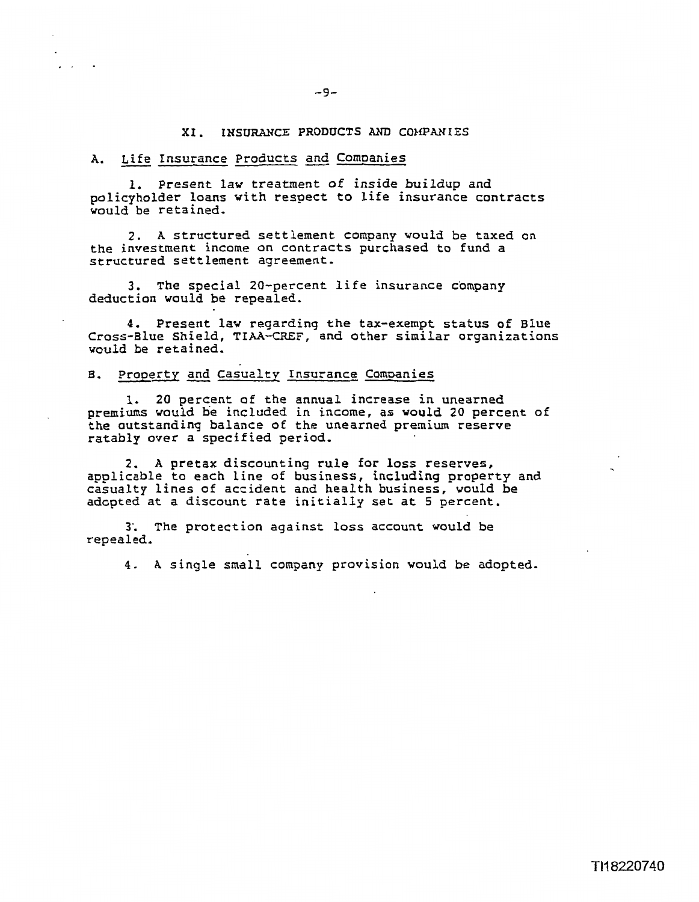#### **XI. INSURANCE PRODUCTS AND COHPANIES**

# <sup>-9-</sup><br>XI. INSURANCE PRODUCTS AND CONDANY<br>A. Life Insurance Products and Companies

1. Present law treatment of inside buildup and policyholder loans with respect to life insurance contracts would be retained,

2. A structured settlement company would be taxed on the investment income on contracts purchased to fund a structured settlement agreement.

**3.** The special 20-percent life insurance company deduction would be repealed.

**4.** Present law regarding the tax-exempt status of Blue Cross-Blue Shield, **TIAA-CREF,** and other similar organizations would be retained. 4. Present law regarding the ta<br>s-Blue Shield, TIAA-CREF, and oth<br>l be retained.<br>Property and Casualty Insurance C

**1.** 20 percent of the annual increase in unearned premiums would **he** included in income, **as** would 20 percent of the outstanding balance of the unearned premium reserve ratably over a specified period.

**2. A** pretax discounting rule for loss reserves, applicable to each line of business, including property and casualty lines of accident and health business, would be adopted at a discount rate initially set at 5 percent.

3'. The protection against loss account would be repealed.

**4.** A single small company provision would be adopted.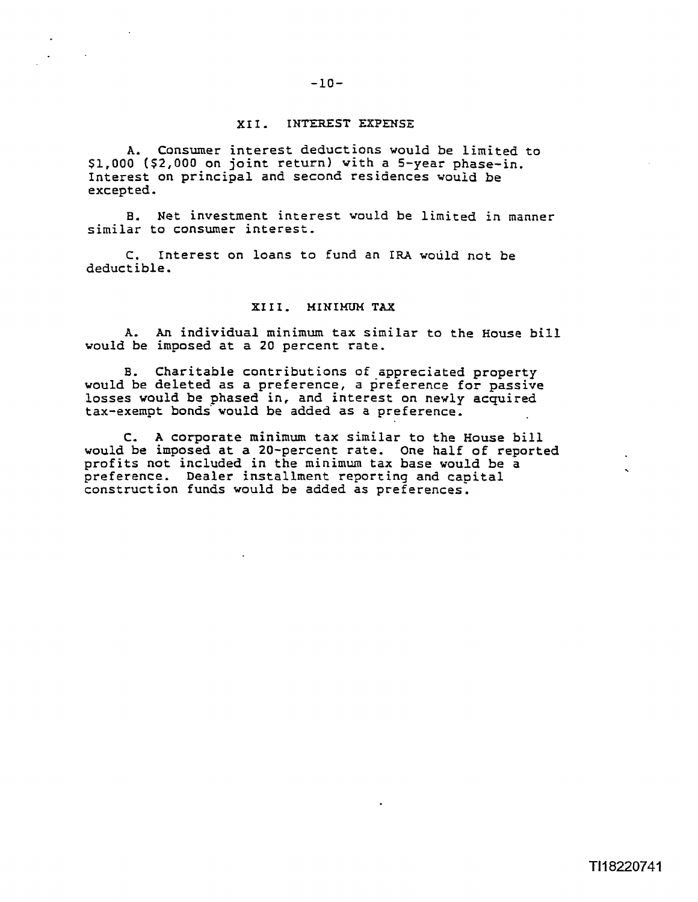### $-10-$

#### **XXI. INTEREST EXPENSE**

A. Consumer interest deductions would be limited to **\$1,000 (\$2,000** on joint return) with a 5-year phase-in. Interest on principal and second residences would be excepted.

**8.** Net investment interest would be limited in manner similar to consumer interest,

C. Interest on loans to fund an IRA would not be deductible.

#### XIII. MINIMUM TAX

A. kn individual minimum tax similar to the House bill would be imposed at a 20 percent rate.

**B.** Charitable contributions of appreciated property would be deleted as a preference, a preference for passive losses would be phased in, and interest on newly acquired tax-exempt bonds' would be added as a preference.

**C,** A corporate minimum tax similar to the House bill would be imposed at a 20-percent rate. One half of reported profits not included in the minimum **tax** base would be a preference. Dealer installment reporting and capital construction funds would be added as preferences.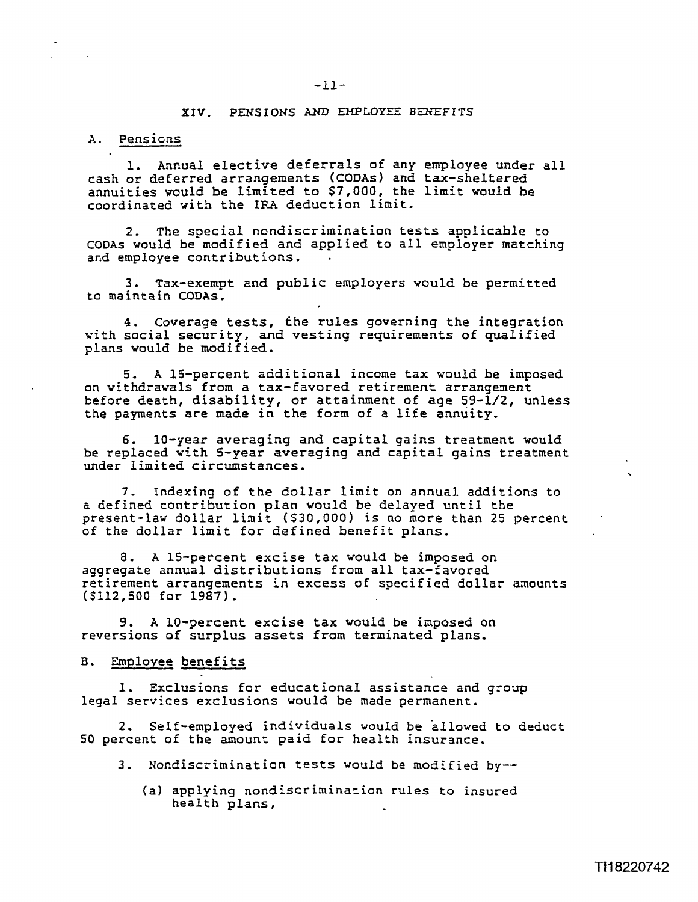#### **XIV. PENSIONS AND EMPLOYES EREFITS**

#### **A.** Pensions

1. Annual elective deferrals of any employee under all cash or deferred arrangements (CODAs) and tax-sheltered annuities would be limited to \$7,000, the Limit would be coordinated with the IRA deduction limit.

2. The special nondiscrimination tests applicable to **CODAS** would be modified and applied to all employer matching and employee contributions.

3. Tax-exempt and public employers would be permitted to maintain CODAS.

4. Coverage tests, the rules governing the integration with social security, and vesting requirements of qualified plans would be modified,

5. A 15-percent additional income tax would be imposed on withdrawals from a tax-favored retirement arrangement before death, disability, or attainment of age 59-1/2, unless the payments are made in the form of a life annuity.

6. 10-year averaging and capital gains treatment would be replaced with 5-year averaging and capital gains treatment ..................<br>under limited circumstances.

7. Indexing of the dollar limit on annual additions to a defined contribution plan would be delayed until the present-law dollar limit (\$30,000) is no more than 25 percent of the dollar limit for defined benefit plans.

8. A 15-percent excise tax would be imposed on aggregate annual distributions from all tax-favored retirement arrangements in excess of specified dollar amounts (\$112,500 for 1987) .

**9. A** 10-percent excise **tax** would be imposed on reversions of surplus **assets** from terminated plans.

#### B. Employee benefits

1. Exclusions for educational assistance and group legal services exclusions would be made permanent.

2. Self-employed individuals would be allowed to deduct 50 percent of the amount paid for health insurance.

- 3. Nondiscrimination tests would be modified by--
	- (a) applying nondiscrimination rules to insured health plans,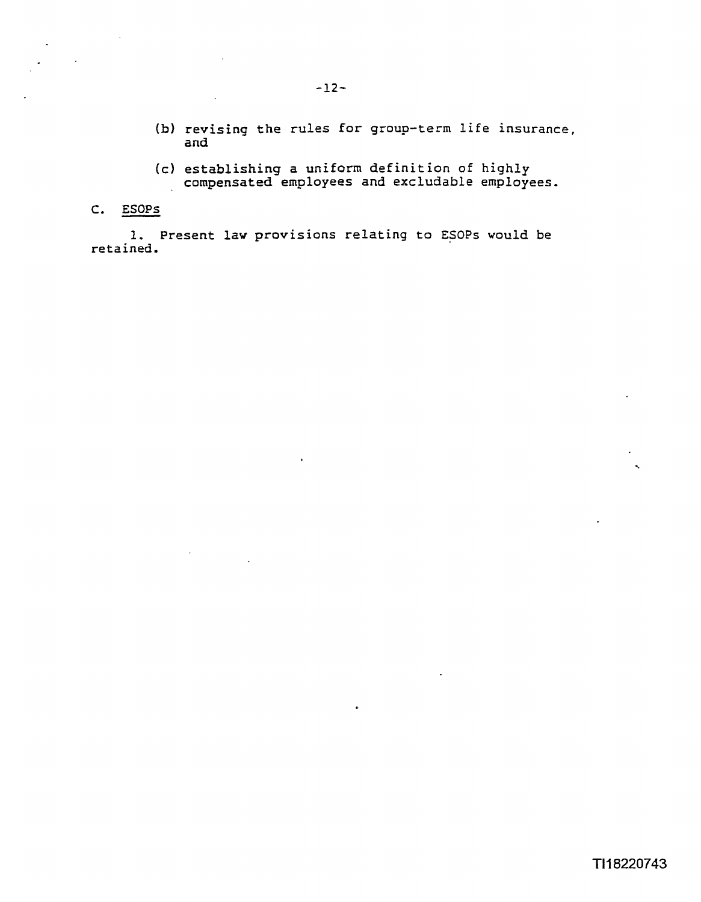- **(b) revising the rules for group-term life insurance, and**  (b) revising the rules for group-term life insurance<br>
and<br>
(c) establishing a uniform definition of highly<br>
compensated employees and excludable employees.<br>
2. ESOPs<br>
1. Present law provisions relating to ESOPs would be
	- **(c) establishing a uniform definition of highly compensated employees and excludable employees.**

 $\Delta$ 

**retained.**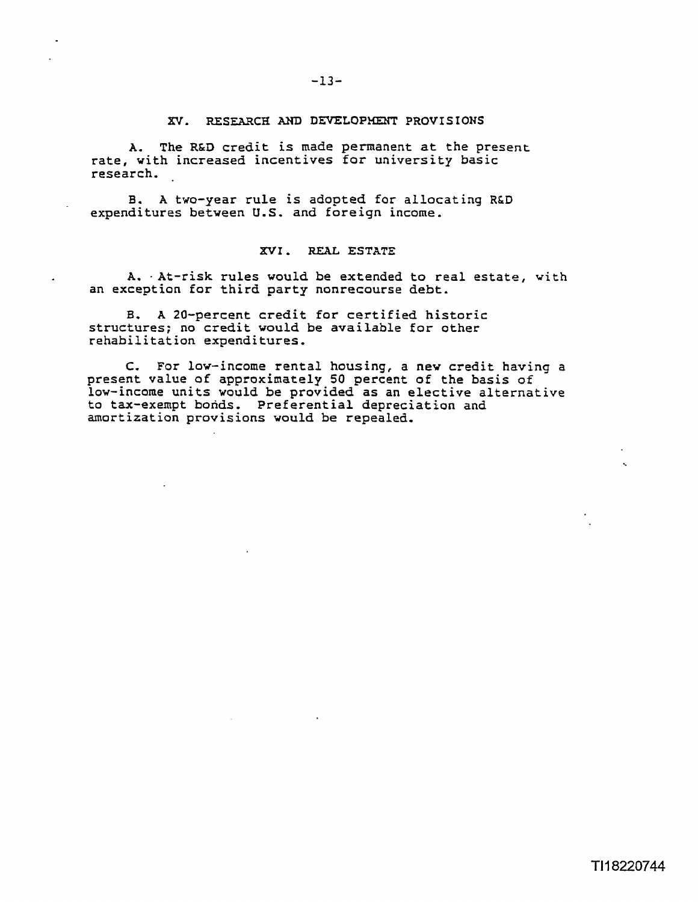#### $-13-$

#### XV. RESEARCH AND DEVELOPHENT PROVISIONS

A. The **R&D** credit is made permanent at the present rate, with increased incentives for university basic research,

B. A two-year rule is adopted for allocating R&D expenditures between U.S. and foreign income.

#### **XVI** , **REAL ESTATE**

A. . At-risk rules would be extended to real estate, with an exception for third party nonrecourse debt.

B. A 20-percent credit for certified historic structures; no credit would be available for other rehabilitation expenditures.

C. For low-income rental housing, a new credit having a present **value** of approximately **50** percent of the basis of low-income units would be provided as an elective alternative to tax-exempt bonds. Preferential depreciation and amortization provisions would be repealed,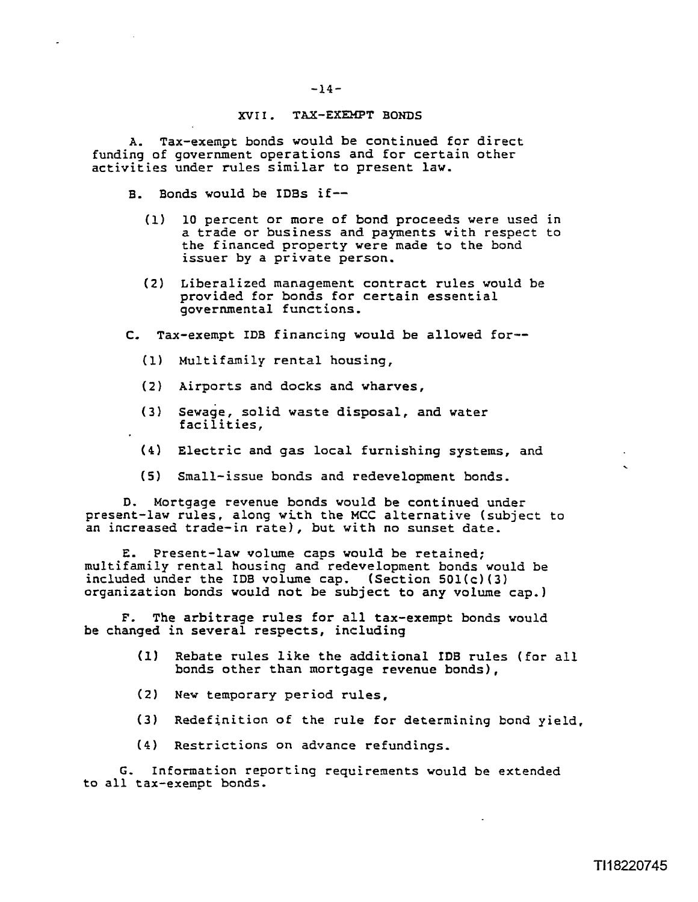#### **XVII. TAX-EXEMPT BONDS**

A. Tax-exempt bonds would be continued for direct funding of government operations and for certain other activities under rules similar to present law.

- B. Bonds would be **IDBs if--** 
	- (1) 10 percent or more of bond proceeds were used in a trade or business and payments with respect to the financed property were made to the bond issuer by a private person.
	- **(2)** Liberalized management contract rules would be provided for bonds for certain essential governmental functions,

**C,** Tax-exempt IDB financing would be allowed for--

- **(1)** Multifamily rental housing,
- (2) Airports and docks and wharves,
- **(3)** sewage, solid waste disposal, and water facilities,
- **(4)** Electric and gas local furnishing systems, and
- (5) Small-issue bonds and redevelopment bonds.

D. Mortgage revenue bonds would be continued under present-law rules, along with the MCC alternative (subject to an increased trade-in rate), but with no sunset date.

**E.** Present-law volume caps would be retained; multifamily rental housing and redevelopment bonds would be included under the IDB volume cap. (Section **501(c)(3)**  organization bonds would not be subject to any volume cap.)

**F.** The arbitrage rules for all tax-exempt bonds would be changed in several respects, including

- **(1)** Rebate rules like the additional **IDB** rules (for all bonds other than mortgage revenue bonds),
- (2) New temporary period rules,
- **(3)** Redefinition of the rule for determining **bond** yield,
- **(4)** Restrictions on advance refundings,

G. Information reporting requirements would be extended to all tax-exempt bonds.